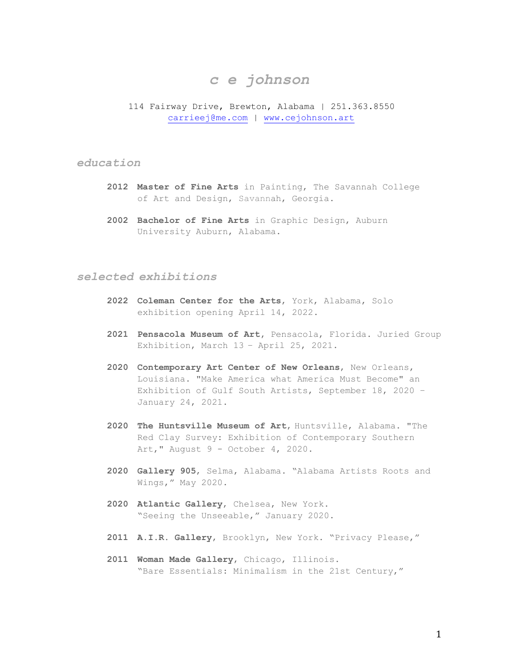# *c e johnson*

## 114 Fairway Drive, Brewton, Alabama | 251.363.8550 carrieej@me.com | www.cejohnson.art

# *education*

- **2012 Master of Fine Arts** in Painting, The Savannah College of Art and Design, Savannah, Georgia.
- **2002 Bachelor of Fine Arts** in Graphic Design, Auburn University Auburn, Alabama.

# *selected exhibitions*

- **2022 Coleman Center for the Arts**, York, Alabama, Solo exhibition opening April 14, 2022.
- **2021 Pensacola Museum of Art,** Pensacola, Florida. Juried Group Exhibition, March 13 – April 25, 2021.
- **2020 Contemporary Art Center of New Orleans**, New Orleans, Louisiana. "Make America what America Must Become" an Exhibition of Gulf South Artists, September 18, 2020 – January 24, 2021.
- **2020 The Huntsville Museum of Art**, Huntsville, Alabama. "The Red Clay Survey: Exhibition of Contemporary Southern Art," August 9 - October 4, 2020.
- **2020 Gallery 905**, Selma, Alabama. "Alabama Artists Roots and Wings," May 2020.
- **2020 Atlantic Gallery**, Chelsea, New York. "Seeing the Unseeable," January 2020.
- **2011 A.I.R. Gallery**, Brooklyn, New York. "Privacy Please,"
- **2011 Woman Made Gallery**, Chicago, Illinois. "Bare Essentials: Minimalism in the 21st Century,"